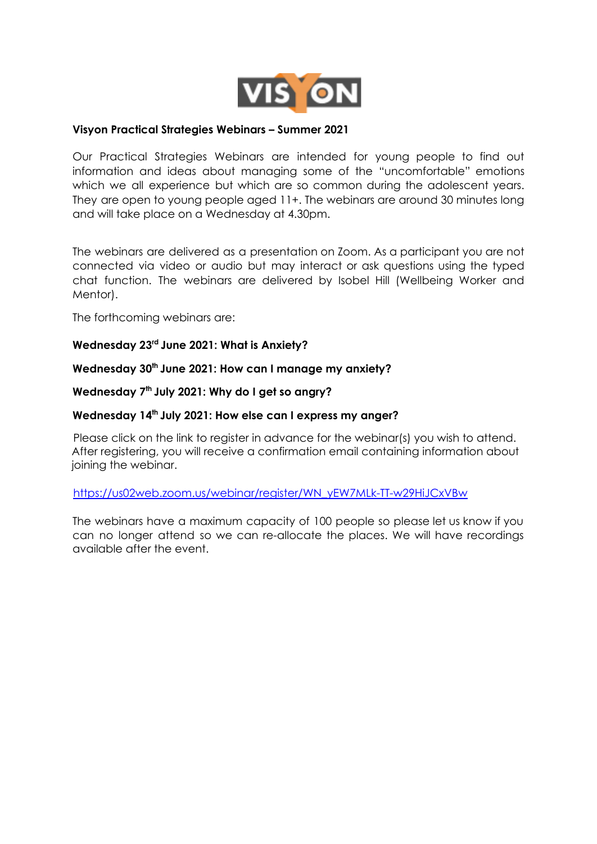

## **Visyon Practical Strategies Webinars – Summer 2021**

Our Practical Strategies Webinars are intended for young people to find out information and ideas about managing some of the "uncomfortable" emotions which we all experience but which are so common during the adolescent years. They are open to young people aged 11+. The webinars are around 30 minutes long and will take place on a Wednesday at 4.30pm.

The webinars are delivered as a presentation on Zoom. As a participant you are not connected via video or audio but may interact or ask questions using the typed chat function. The webinars are delivered by Isobel Hill (Wellbeing Worker and Mentor).

The forthcoming webinars are:

## **Wednesday 23 rd June 2021: What is Anxiety?**

**Wednesday 30 th June 2021: How can I manage my anxiety?**

**Wednesday 7 th July 2021: Why do I get so angry?**

## **Wednesday 14 th July 2021: How else can I express my anger?**

Please click on the link to register in advance for the webinar(s) you wish to attend. After registering, you will receive a confirmation email containing information about joining the webinar.

https://us02web.zoom.us/webinar/register/WN\_yEW7MLk-TT-w29HiJCxVBw

The webinars have a maximum capacity of 100 people so please let us know if you can no longer attend so we can re-allocate the places. We will have recordings available after the event.